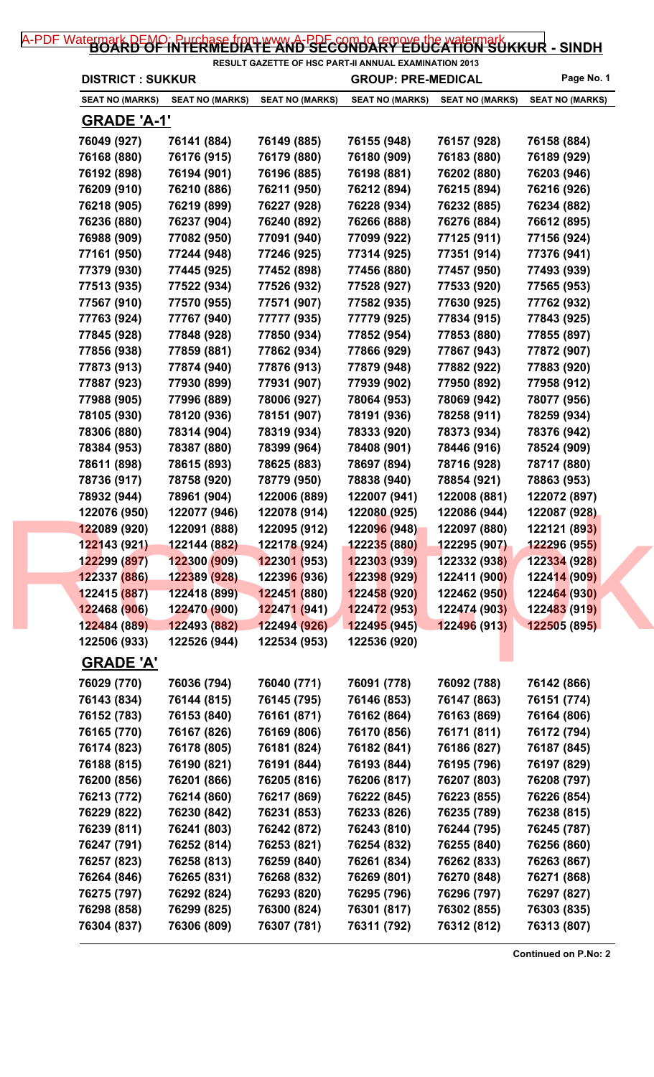## [A-PDF Watermark DEMO: Purchase from www.A-PDF.com to remove the watermark](http://www.a-pdf.com/?wm-demo) KKUR - SINDH

| <b>DISTRICT: SUKKUR</b> |                        |                             | RESULT GAZETTE OF HSC PART-II ANNUAL EXAMINATION 2013<br><b>GROUP: PRE-MEDICAL</b> |                        | Page No. 1             |
|-------------------------|------------------------|-----------------------------|------------------------------------------------------------------------------------|------------------------|------------------------|
| <b>SEAT NO (MARKS)</b>  | <b>SEAT NO (MARKS)</b> | <b>SEAT NO (MARKS)</b>      | <b>SEAT NO (MARKS)</b>                                                             | <b>SEAT NO (MARKS)</b> | <b>SEAT NO (MARKS)</b> |
| <b>GRADE 'A-1'</b>      |                        |                             |                                                                                    |                        |                        |
| 76049 (927)             | 76141 (884)            | 76149 (885)                 | 76155 (948)                                                                        | 76157 (928)            | 76158 (884)            |
| 76168 (880)             | 76176 (915)            | 76179 (880)                 | 76180 (909)                                                                        | 76183 (880)            | 76189 (929)            |
| 76192 (898)             | 76194 (901)            | 76196 (885)                 | 76198 (881)                                                                        | 76202 (880)            | 76203 (946)            |
| 76209 (910)             | 76210 (886)            | 76211 (950)                 | 76212 (894)                                                                        | 76215 (894)            | 76216 (926)            |
| 76218 (905)             | 76219 (899)            | 76227 (928)                 | 76228 (934)                                                                        | 76232 (885)            | 76234 (882)            |
| 76236 (880)             | 76237 (904)            | 76240 (892)                 | 76266 (888)                                                                        | 76276 (884)            | 76612 (895)            |
| 76988 (909)             | 77082 (950)            | 77091 (940)                 | 77099 (922)                                                                        | 77125 (911)            | 77156 (924)            |
| 77161 (950)             | 77244 (948)            | 77246 (925)                 | 77314 (925)                                                                        | 77351 (914)            | 77376 (941)            |
| 77379 (930)             | 77445 (925)            | 77452 (898)                 | 77456 (880)                                                                        | 77457 (950)            | 77493 (939)            |
| 77513 (935)             | 77522 (934)            | 77526 (932)                 | 77528 (927)                                                                        | 77533 (920)            | 77565 (953)            |
| 77567 (910)             | 77570 (955)            | 77571 (907)                 | 77582 (935)                                                                        | 77630 (925)            | 77762 (932)            |
| 77763 (924)             | 77767 (940)            | 77777 (935)                 | 77779 (925)                                                                        | 77834 (915)            | 77843 (925)            |
| 77845 (928)             | 77848 (928)            | 77850 (934)                 | 77852 (954)                                                                        | 77853 (880)            | 77855 (897)            |
| 77856 (938)             | 77859 (881)            | 77862 (934)                 | 77866 (929)                                                                        | 77867 (943)            | 77872 (907)            |
| 77873 (913)             | 77874 (940)            | 77876 (913)                 | 77879 (948)                                                                        | 77882 (922)            | 77883 (920)            |
| 77887 (923)             | 77930 (899)            | 77931 (907)                 | 77939 (902)                                                                        | 77950 (892)            | 77958 (912)            |
| 77988 (905)             | 77996 (889)            | 78006 (927)                 | 78064 (953)                                                                        | 78069 (942)            | 78077 (956)            |
| 78105 (930)             | 78120 (936)            | 78151 (907)                 | 78191 (936)                                                                        | 78258 (911)            | 78259 (934)            |
| 78306 (880)             | 78314 (904)            | 78319 (934)                 | 78333 (920)                                                                        | 78373 (934)            | 78376 (942)            |
| 78384 (953)             | 78387 (880)            | 78399 (964)                 | 78408 (901)                                                                        | 78446 (916)            | 78524 (909)            |
| 78611 (898)             | 78615 (893)            | 78625 (883)                 | 78697 (894)                                                                        | 78716 (928)            | 78717 (880)            |
| 78736 (917)             | 78758 (920)            | 78779 (950)                 | 78838 (940)                                                                        | 78854 (921)            | 78863 (953)            |
| 78932 (944)             | 78961 (904)            | 122006 (889)                | 122007 (941)                                                                       | 122008 (881)           | 122072 (897)           |
| 122076 (950)            | 122077 (946)           | 122078 (914)                | 122080 (925)                                                                       | 122086 (944)           | 122087 (928)           |
| 122089 (920)            | 122091 (888)           | 122095 (912)                | 122096 (948)                                                                       | 122097 (880)           | 122121 (893)           |
| 122143 (921)            | 122144 (882)           | 122178 (924)                | 122235 (880)                                                                       | 122295 (907)           | 122296 (955)           |
| 122299 (897)            | 122300 (909)           | 122301 (953)                | 122303 (939)                                                                       | 122332 (938)           | 122334 (928)           |
| 122337 (886)            | 122389 (928)           | 12239 <mark>6 (</mark> 936) | 122398 (929)                                                                       | 122411 (900)           | 122414 (909)           |
| 122415 (887)            | 122418 (899)           | 122451 (880)                | 122458 (920)                                                                       | 122462 (950)           | 122464 (930)           |
| 122468 (906)            | 122470 (900)           | <mark>122471 (941</mark> )  | 122472 (953)                                                                       | 122474 (903)           | 122483 (919)           |
| 122484 (889)            | 122493 (882)           | 122494 (926)                | 122495 (945)                                                                       | 122496 (913)           | 122505 (895)           |
| 122506 (933)            | 122526 (944)           | 122534 (953)                | 122536 (920)                                                                       |                        |                        |
| <b>GRADE 'A'</b>        |                        |                             |                                                                                    |                        |                        |
| 76029 (770)             | 76036 (794)            | 76040 (771)                 | 76091 (778)                                                                        | 76092 (788)            | 76142 (866)            |
| 76143 (834)             | 76144 (815)            | 76145 (795)                 | 76146 (853)                                                                        | 76147 (863)            | 76151 (774)            |
| 76152 (783)             | 76153 (840)            | 76161 (871)                 | 76162 (864)                                                                        | 76163 (869)            | 76164 (806)            |
| 76165 (770)             | 76167 (826)            | 76169 (806)                 | 76170 (856)                                                                        | 76171 (811)            | 76172 (794)            |
| 76174 (823)             | 76178 (805)            | 76181 (824)                 | 76182 (841)                                                                        | 76186 (827)            | 76187 (845)            |
| 76188 (815)             | 76190 (821)            | 76191 (844)                 | 76193 (844)                                                                        | 76195 (796)            | 76197 (829)            |
| 76200 (856)             | 76201 (866)            | 76205 (816)                 | 76206 (817)                                                                        | 76207 (803)            | 76208 (797)            |
| 76213 (772)             | 76214 (860)            | 76217 (869)                 | 76222 (845)                                                                        | 76223 (855)            | 76226 (854)            |
| 76229 (822)             | 76230 (842)            | 76231 (853)                 | 76233 (826)                                                                        | 76235 (789)            | 76238 (815)            |
| 76239 (811)             | 76241 (803)            | 76242 (872)                 | 76243 (810)                                                                        | 76244 (795)            | 76245 (787)            |
| 76247 (791)             | 76252 (814)            | 76253 (821)                 | 76254 (832)                                                                        | 76255 (840)            | 76256 (860)            |
| 76257 (823)             | 76258 (813)            | 76259 (840)                 | 76261 (834)                                                                        | 76262 (833)            | 76263 (867)            |
| 76264 (846)             | 76265 (831)            | 76268 (832)                 | 76269 (801)                                                                        | 76270 (848)            | 76271 (868)            |
| 76275 (797)             | 76292 (824)            | 76293 (820)                 | 76295 (796)                                                                        | 76296 (797)            | 76297 (827)            |
| 76298 (858)             | 76299 (825)            | 76300 (824)                 | 76301 (817)                                                                        | 76302 (855)            | 76303 (835)            |
| 76304 (837)             | 76306 (809)            | 76307 (781)                 | 76311 (792)                                                                        | 76312 (812)            | 76313 (807)            |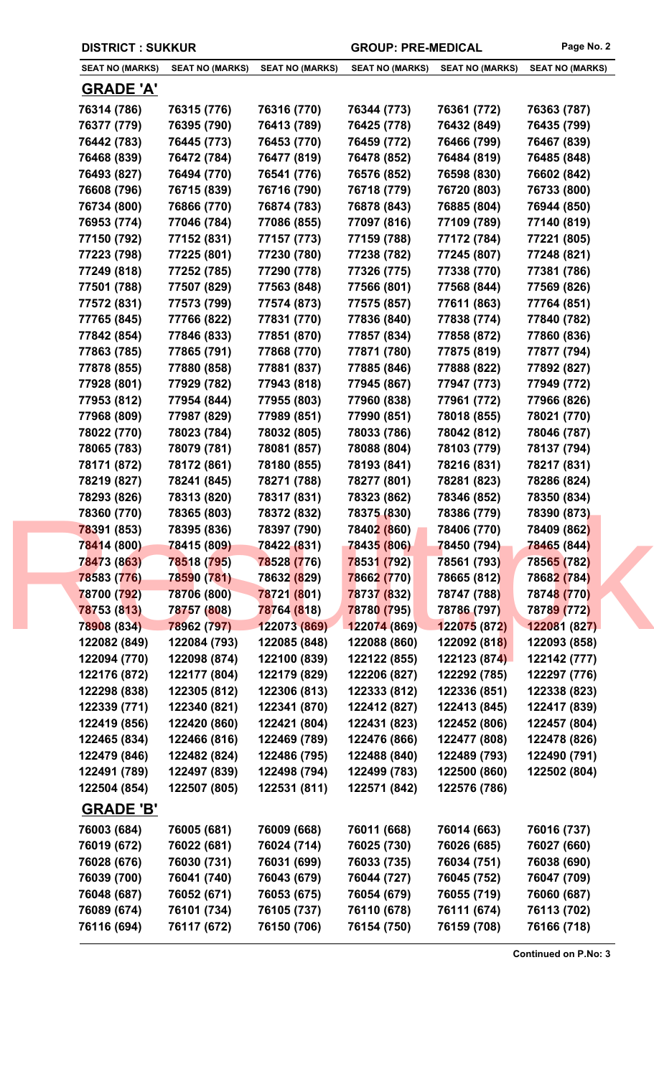|  | <b>DISTRICT: SUKKUR</b> |                        |                        | <b>GROUP: PRE-MEDICAL</b> |                        | Page No. 2             |
|--|-------------------------|------------------------|------------------------|---------------------------|------------------------|------------------------|
|  | <b>SEAT NO (MARKS)</b>  | <b>SEAT NO (MARKS)</b> | <b>SEAT NO (MARKS)</b> | <b>SEAT NO (MARKS)</b>    | <b>SEAT NO (MARKS)</b> | <b>SEAT NO (MARKS)</b> |
|  | <b>GRADE 'A'</b>        |                        |                        |                           |                        |                        |
|  | 76314 (786)             | 76315 (776)            | 76316 (770)            | 76344 (773)               | 76361 (772)            | 76363 (787)            |
|  | 76377 (779)             | 76395 (790)            | 76413 (789)            | 76425 (778)               | 76432 (849)            | 76435 (799)            |
|  | 76442 (783)             | 76445 (773)            | 76453 (770)            | 76459 (772)               | 76466 (799)            | 76467 (839)            |
|  | 76468 (839)             | 76472 (784)            | 76477 (819)            | 76478 (852)               | 76484 (819)            | 76485 (848)            |
|  | 76493 (827)             | 76494 (770)            | 76541 (776)            | 76576 (852)               | 76598 (830)            | 76602 (842)            |
|  | 76608 (796)             | 76715 (839)            | 76716 (790)            | 76718 (779)               | 76720 (803)            | 76733 (800)            |
|  | 76734 (800)             | 76866 (770)            | 76874 (783)            | 76878 (843)               | 76885 (804)            | 76944 (850)            |
|  | 76953 (774)             | 77046 (784)            | 77086 (855)            | 77097 (816)               | 77109 (789)            | 77140 (819)            |
|  | 77150 (792)             | 77152 (831)            | 77157 (773)            | 77159 (788)               | 77172 (784)            | 77221 (805)            |
|  | 77223 (798)             | 77225 (801)            | 77230 (780)            | 77238 (782)               | 77245 (807)            | 77248 (821)            |
|  | 77249 (818)             | 77252 (785)            | 77290 (778)            | 77326 (775)               | 77338 (770)            | 77381 (786)            |
|  | 77501 (788)             | 77507 (829)            | 77563 (848)            | 77566 (801)               | 77568 (844)            | 77569 (826)            |
|  | 77572 (831)             | 77573 (799)            | 77574 (873)            | 77575 (857)               | 77611 (863)            | 77764 (851)            |
|  | 77765 (845)             | 77766 (822)            | 77831 (770)            | 77836 (840)               | 77838 (774)            | 77840 (782)            |
|  | 77842 (854)             | 77846 (833)            | 77851 (870)            | 77857 (834)               | 77858 (872)            | 77860 (836)            |
|  | 77863 (785)             | 77865 (791)            | 77868 (770)            | 77871 (780)               | 77875 (819)            | 77877 (794)            |
|  | 77878 (855)             | 77880 (858)            | 77881 (837)            | 77885 (846)               | 77888 (822)            | 77892 (827)            |
|  | 77928 (801)             | 77929 (782)            | 77943 (818)            | 77945 (867)               | 77947 (773)            | 77949 (772)            |
|  | 77953 (812)             | 77954 (844)            | 77955 (803)            | 77960 (838)               | 77961 (772)            | 77966 (826)            |
|  | 77968 (809)             | 77987 (829)            | 77989 (851)            | 77990 (851)               | 78018 (855)            | 78021 (770)            |
|  | 78022 (770)             | 78023 (784)            | 78032 (805)            | 78033 (786)               | 78042 (812)            | 78046 (787)            |
|  | 78065 (783)             | 78079 (781)            | 78081 (857)            | 78088 (804)               | 78103 (779)            | 78137 (794)            |
|  | 78171 (872)             | 78172 (861)            | 78180 (855)            | 78193 (841)               | 78216 (831)            | 78217 (831)            |
|  | 78219 (827)             | 78241 (845)            | 78271 (788)            | 78277 (801)               | 78281 (823)            | 78286 (824)            |
|  | 78293 (826)             | 78313 (820)            | 78317 (831)            | 78323 (862)               | 78346 (852)            | 78350 (834)            |
|  | 78360 (770)             | 78365 (803)            | 78372 (832)            | 78375 (830)               | 78386 (779)            | 78390 (873)            |
|  | 78391 (853)             | 78395 (836)            | 78397 (790)            | 78402 (860)               | 78406 (770)            | 78409 (862)            |
|  | 78414 (800)             | 78415 (809)            | 78422 (831)            | 78435 (806)               | 78450 (794)            | <b>78465 (844)</b>     |
|  | 78473 (863)             | 78518 (795)            | 78528 (776)            | 78531 (792)               | 78561 (793)            | 78565 (782)            |
|  | 78583 (776)             | 78590 (781)            | 78632 (829)            | 78662 (770)               | 78665 (812)            | 78682 (784)            |
|  | 78700 (792)             | 78706 (800)            | 78721 (801)            | 78737 (832)               | 78747 (788)            | 78748 (770)            |
|  | 78753 (813)             | 78757 (808)            | 78764 (818)            | 78780 (795)               | 78786 (797)            | 78789 (772)            |
|  | 78908 (834)             | 78962 (797)            | 122073 (869)           | 122074 (869)              | 122075 (872)           | 122081 (827)           |
|  | 122082 (849)            | 122084 (793)           | 122085 (848)           | 122088 (860)              | 122092 (818)           | 122093 (858)           |
|  | 122094 (770)            | 122098 (874)           | 122100 (839)           | 122122 (855)              | 122123 (874)           | 122142 (777)           |
|  | 122176 (872)            | 122177 (804)           | 122179 (829)           | 122206 (827)              | 122292 (785)           | 122297 (776)           |
|  | 122298 (838)            | 122305 (812)           | 122306 (813)           | 122333 (812)              | 122336 (851)           | 122338 (823)           |
|  | 122339 (771)            | 122340 (821)           | 122341 (870)           | 122412 (827)              | 122413 (845)           | 122417 (839)           |
|  | 122419 (856)            | 122420 (860)           | 122421 (804)           | 122431 (823)              | 122452 (806)           | 122457 (804)           |
|  | 122465 (834)            | 122466 (816)           | 122469 (789)           | 122476 (866)              | 122477 (808)           | 122478 (826)           |
|  | 122479 (846)            | 122482 (824)           | 122486 (795)           | 122488 (840)              | 122489 (793)           | 122490 (791)           |
|  | 122491 (789)            | 122497 (839)           | 122498 (794)           | 122499 (783)              | 122500 (860)           | 122502 (804)           |
|  | 122504 (854)            | 122507 (805)           | 122531 (811)           | 122571 (842)              | 122576 (786)           |                        |
|  | <b>GRADE 'B'</b>        |                        |                        |                           |                        |                        |
|  | 76003 (684)             | 76005 (681)            | 76009 (668)            | 76011 (668)               | 76014 (663)            | 76016 (737)            |
|  | 76019 (672)             | 76022 (681)            | 76024 (714)            | 76025 (730)               | 76026 (685)            | 76027 (660)            |
|  | 76028 (676)             | 76030 (731)            | 76031 (699)            | 76033 (735)               | 76034 (751)            | 76038 (690)            |
|  | 76039 (700)             | 76041 (740)            | 76043 (679)            | 76044 (727)               | 76045 (752)            | 76047 (709)            |
|  | 76048 (687)             | 76052 (671)            | 76053 (675)            | 76054 (679)               | 76055 (719)            | 76060 (687)            |
|  | 76089 (674)             | 76101 (734)            | 76105 (737)            | 76110 (678)               | 76111 (674)            | 76113 (702)            |
|  | 76116 (694)             | 76117 (672)            | 76150 (706)            | 76154 (750)               | 76159 (708)            | 76166 (718)            |
|  |                         |                        |                        |                           |                        |                        |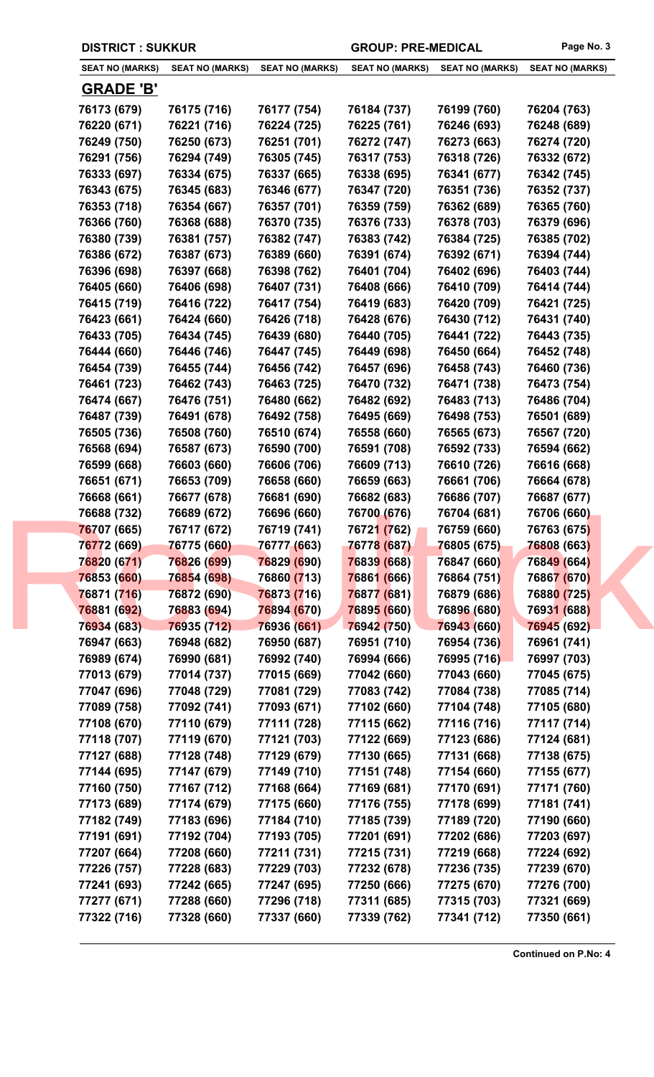|  | <b>DISTRICT : SUKKUR</b> |
|--|--------------------------|
|--|--------------------------|

GROUP: PRE-MEDICAL Page No. 3

|                  | <b>SEAT NO (MARKS)</b><br><b>SEAT NO (MARKS)</b> | <b>SEAT NO (MARKS)</b> | <b>SEAT NO (MARKS)</b> | <b>SEAT NO (MARKS)</b> | <b>SEAT NO (MARKS)</b> |
|------------------|--------------------------------------------------|------------------------|------------------------|------------------------|------------------------|
| <b>GRADE 'B'</b> |                                                  |                        |                        |                        |                        |
| 76173 (679)      | 76175 (716)                                      | 76177 (754)            | 76184 (737)            | 76199 (760)            | 76204 (763)            |
| 76220 (671)      | 76221 (716)                                      | 76224 (725)            | 76225 (761)            | 76246 (693)            | 76248 (689)            |
| 76249 (750)      | 76250 (673)                                      | 76251 (701)            | 76272 (747)            | 76273 (663)            | 76274 (720)            |
| 76291 (756)      | 76294 (749)                                      | 76305 (745)            | 76317 (753)            | 76318 (726)            | 76332 (672)            |
| 76333 (697)      | 76334 (675)                                      | 76337 (665)            | 76338 (695)            | 76341 (677)            | 76342 (745)            |
| 76343 (675)      | 76345 (683)                                      | 76346 (677)            | 76347 (720)            | 76351 (736)            | 76352 (737)            |
| 76353 (718)      | 76354 (667)                                      | 76357 (701)            | 76359 (759)            | 76362 (689)            | 76365 (760)            |
| 76366 (760)      | 76368 (688)                                      | 76370 (735)            | 76376 (733)            | 76378 (703)            | 76379 (696)            |
| 76380 (739)      | 76381 (757)                                      | 76382 (747)            | 76383 (742)            | 76384 (725)            | 76385 (702)            |
| 76386 (672)      | 76387 (673)                                      | 76389 (660)            | 76391 (674)            | 76392 (671)            | 76394 (744)            |
| 76396 (698)      | 76397 (668)                                      | 76398 (762)            | 76401 (704)            | 76402 (696)            | 76403 (744)            |
| 76405 (660)      | 76406 (698)                                      | 76407 (731)            | 76408 (666)            | 76410 (709)            | 76414 (744)            |
| 76415 (719)      | 76416 (722)                                      | 76417 (754)            | 76419 (683)            | 76420 (709)            | 76421 (725)            |
| 76423 (661)      | 76424 (660)                                      | 76426 (718)            | 76428 (676)            | 76430 (712)            | 76431 (740)            |
| 76433 (705)      | 76434 (745)                                      | 76439 (680)            | 76440 (705)            | 76441 (722)            | 76443 (735)            |
| 76444 (660)      | 76446 (746)                                      | 76447 (745)            | 76449 (698)            | 76450 (664)            | 76452 (748)            |
| 76454 (739)      | 76455 (744)                                      | 76456 (742)            | 76457 (696)            | 76458 (743)            | 76460 (736)            |
| 76461 (723)      | 76462 (743)                                      | 76463 (725)            | 76470 (732)            | 76471 (738)            | 76473 (754)            |
| 76474 (667)      | 76476 (751)                                      | 76480 (662)            | 76482 (692)            | 76483 (713)            | 76486 (704)            |
| 76487 (739)      | 76491 (678)                                      | 76492 (758)            | 76495 (669)            | 76498 (753)            | 76501 (689)            |
|                  |                                                  |                        | 76558 (660)            |                        |                        |
| 76505 (736)      | 76508 (760)                                      | 76510 (674)            |                        | 76565 (673)            | 76567 (720)            |
| 76568 (694)      | 76587 (673)                                      | 76590 (700)            | 76591 (708)            | 76592 (733)            | 76594 (662)            |
| 76599 (668)      | 76603 (660)                                      | 76606 (706)            | 76609 (713)            | 76610 (726)            | 76616 (668)            |
| 76651 (671)      | 76653 (709)                                      | 76658 (660)            | 76659 (663)            | 76661 (706)            | 76664 (678)            |
| 76668 (661)      | 76677 (678)                                      | 76681 (690)            | 76682 (683)            | 76686 (707)            | 76687 (677)            |
| 76688 (732)      | 76689 (672)                                      | 76696 (660)            | 76700 (676)            | 76704 (681)            | 76706 (660)            |
| 76707 (665)      | 76717 (672)                                      | 76719 (741)            | 76721 (762)            | 76759 (660)            | 76763 (675)            |
| 76772 (669)      | 76775 (660)                                      | 76777 (663)            | 76778 (687)            | 76805 (675)            | 76808 (663)            |
| 76820 (671)      | 76826 (699)                                      | 76829 (690)            | 76839 (668)            | 76847 (660)            | 76849 (664)            |
| 76853 (660)      | 76854 (698)                                      | 76860 (713)            | 76861 (666)            | 76864 (751)            | 76867 (670)            |
| 76871 (716)      | 76872 (690)                                      | 76873 (716)            | 76877 (681)            | 76879 (686)            | 76880 (725)            |
| 76881 (692)      | 76883 (694)                                      | 76894 (670)            | 76895 (660)            | 76896 (680)            | 76931 (688)            |
| 76934 (683)      | 76935 (712)                                      | 76936 (661)            | 76942 (750)            | 76943 (660)            | 76945 (692)            |
| 76947 (663)      | 76948 (682)                                      | 76950 (687)            | 76951 (710)            | 76954 (736)            | 76961 (741)            |
| 76989 (674)      | 76990 (681)                                      | 76992 (740)            | 76994 (666)            | 76995 (716)            | 76997 (703)            |
| 77013 (679)      | 77014 (737)                                      | 77015 (669)            | 77042 (660)            | 77043 (660)            | 77045 (675)            |
| 77047 (696)      | 77048 (729)                                      | 77081 (729)            | 77083 (742)            | 77084 (738)            | 77085 (714)            |
| 77089 (758)      | 77092 (741)                                      | 77093 (671)            | 77102 (660)            | 77104 (748)            | 77105 (680)            |
| 77108 (670)      | 77110 (679)                                      | 77111 (728)            | 77115 (662)            | 77116 (716)            | 77117 (714)            |
| 77118 (707)      | 77119 (670)                                      | 77121 (703)            | 77122 (669)            | 77123 (686)            | 77124 (681)            |
| 77127 (688)      | 77128 (748)                                      | 77129 (679)            | 77130 (665)            | 77131 (668)            | 77138 (675)            |
| 77144 (695)      | 77147 (679)                                      | 77149 (710)            | 77151 (748)            | 77154 (660)            | 77155 (677)            |
| 77160 (750)      | 77167 (712)                                      | 77168 (664)            | 77169 (681)            | 77170 (691)            | 77171 (760)            |
| 77173 (689)      | 77174 (679)                                      | 77175 (660)            | 77176 (755)            | 77178 (699)            | 77181 (741)            |
| 77182 (749)      | 77183 (696)                                      | 77184 (710)            | 77185 (739)            | 77189 (720)            | 77190 (660)            |
| 77191 (691)      | 77192 (704)                                      | 77193 (705)            | 77201 (691)            | 77202 (686)            | 77203 (697)            |
| 77207 (664)      | 77208 (660)                                      | 77211 (731)            | 77215 (731)            | 77219 (668)            | 77224 (692)            |
| 77226 (757)      | 77228 (683)                                      | 77229 (703)            | 77232 (678)            | 77236 (735)            | 77239 (670)            |
| 77241 (693)      | 77242 (665)                                      | 77247 (695)            | 77250 (666)            | 77275 (670)            | 77276 (700)            |
| 77277 (671)      | 77288 (660)                                      | 77296 (718)            | 77311 (685)            | 77315 (703)            | 77321 (669)            |
| 77322 (716)      | 77328 (660)                                      | 77337 (660)            | 77339 (762)            | 77341 (712)            | 77350 (661)            |
|                  |                                                  |                        |                        |                        |                        |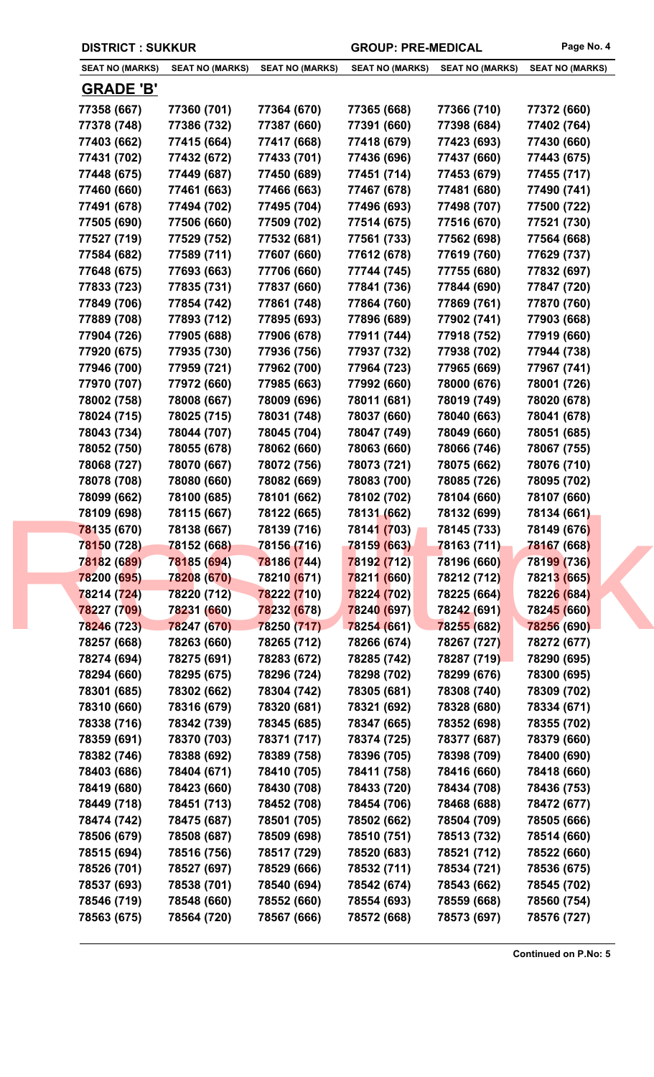| <b>DISTRICT : SUKKUR</b> |                        |                        | <b>GROUP: PRE-MEDICAL</b> |                        | Page No. 4             |
|--------------------------|------------------------|------------------------|---------------------------|------------------------|------------------------|
| <b>SEAT NO (MARKS)</b>   | <b>SEAT NO (MARKS)</b> | <b>SEAT NO (MARKS)</b> | <b>SEAT NO (MARKS)</b>    | <b>SEAT NO (MARKS)</b> | <b>SEAT NO (MARKS)</b> |
| <b>GRADE 'B'</b>         |                        |                        |                           |                        |                        |
| 77358 (667)              | 77360 (701)            | 77364 (670)            | 77365 (668)               | 77366 (710)            | 77372 (660)            |
| 77378 (748)              | 77386 (732)            | 77387 (660)            | 77391 (660)               | 77398 (684)            | 77402 (764)            |
| 77403 (662)              | 77415 (664)            | 77417 (668)            | 77418 (679)               | 77423 (693)            | 77430 (660)            |
| 77431 (702)              | 77432 (672)            | 77433 (701)            | 77436 (696)               | 77437 (660)            | 77443 (675)            |
| 77448 (675)              | 77449 (687)            | 77450 (689)            | 77451 (714)               | 77453 (679)            | 77455 (717)            |
| 77460 (660)              | 77461 (663)            | 77466 (663)            | 77467 (678)               | 77481 (680)            | 77490 (741)            |
| 77491 (678)              | 77494 (702)            | 77495 (704)            | 77496 (693)               | 77498 (707)            | 77500 (722)            |
| 77505 (690)              | 77506 (660)            | 77509 (702)            | 77514 (675)               | 77516 (670)            | 77521 (730)            |
| 77527 (719)              | 77529 (752)            | 77532 (681)            | 77561 (733)               | 77562 (698)            | 77564 (668)            |
| 77584 (682)              | 77589 (711)            | 77607 (660)            | 77612 (678)               | 77619 (760)            | 77629 (737)            |
| 77648 (675)              | 77693 (663)            | 77706 (660)            | 77744 (745)               | 77755 (680)            | 77832 (697)            |
| 77833 (723)              | 77835 (731)            | 77837 (660)            | 77841 (736)               | 77844 (690)            | 77847 (720)            |
| 77849 (706)              | 77854 (742)            | 77861 (748)            | 77864 (760)               | 77869 (761)            | 77870 (760)            |
| 77889 (708)              | 77893 (712)            | 77895 (693)            | 77896 (689)               | 77902 (741)            | 77903 (668)            |
| 77904 (726)              | 77905 (688)            | 77906 (678)            | 77911 (744)               | 77918 (752)            | 77919 (660)            |
| 77920 (675)              | 77935 (730)            | 77936 (756)            | 77937 (732)               | 77938 (702)            | 77944 (738)            |
| 77946 (700)              | 77959 (721)            | 77962 (700)            | 77964 (723)               | 77965 (669)            | 77967 (741)            |
| 77970 (707)              | 77972 (660)            | 77985 (663)            | 77992 (660)               | 78000 (676)            | 78001 (726)            |
| 78002 (758)              | 78008 (667)            | 78009 (696)            | 78011 (681)               | 78019 (749)            | 78020 (678)            |
| 78024 (715)              | 78025 (715)            | 78031 (748)            | 78037 (660)               | 78040 (663)            | 78041 (678)            |
| 78043 (734)              | 78044 (707)            | 78045 (704)            | 78047 (749)               | 78049 (660)            | 78051 (685)            |
| 78052 (750)              | 78055 (678)            | 78062 (660)            | 78063 (660)               | 78066 (746)            | 78067 (755)            |
| 78068 (727)              | 78070 (667)            | 78072 (756)            | 78073 (721)               | 78075 (662)            | 78076 (710)            |
| 78078 (708)              | 78080 (660)            | 78082 (669)            | 78083 (700)               | 78085 (726)            | 78095 (702)            |
| 78099 (662)              | 78100 (685)            | 78101 (662)            | 78102 (702)               | 78104 (660)            | 78107 (660)            |
| 78109 (698)              | 78115 (667)            | 78122 (665)            | 78131 (662)               | 78132 (699)            | 78134 (661)            |
| 78135 (670)              | 78138 (667)            | 78139 (716)            | 78141 (703)               | 78145 (733)            | 78149 (676)            |
| 78150 (728)              | 78152 (668)            | 78156 (716)            | 78159 (663)               | 78163 (711)            | <b>78167 (668)</b>     |
| 78182 (689)              | 78185 (694)            | 78186 (744)            | 78192 (712)               | 78196 (660)            | 78199 (736)            |
| 78200 (695)              | 78208 (670)            | 78210 (671)            | 78211 (660)               | 78212 (712)            | 78213 (665)            |
| 78214 (724)              | 78220 (712)            | 78222 (710)            | 78224 (702)               | 78225 (664)            | 78226 (684)            |
| 78227 (709)              | 78231 (660)            | 78232 (678)            | 78240 (697)               | 78242 (691)            | 78245 (660)            |
| 78246 (723)              | 78247 (670)            | 78250 (717)            | 78254 (661)               | 78255 (682)            | 78256 (690)            |
| 78257 (668)              | 78263 (660)            | 78265 (712)            | 78266 (674)               | 78267 (727)            | 78272 (677)            |
| 78274 (694)              | 78275 (691)            | 78283 (672)            | 78285 (742)               | 78287 (719)            | 78290 (695)            |
| 78294 (660)              | 78295 (675)            | 78296 (724)            | 78298 (702)               | 78299 (676)            | 78300 (695)            |
| 78301 (685)              | 78302 (662)            | 78304 (742)            | 78305 (681)               | 78308 (740)            | 78309 (702)            |
| 78310 (660)              | 78316 (679)            | 78320 (681)            | 78321 (692)               | 78328 (680)            | 78334 (671)            |
| 78338 (716)              | 78342 (739)            | 78345 (685)            | 78347 (665)               | 78352 (698)            | 78355 (702)            |
| 78359 (691)              | 78370 (703)            | 78371 (717)            | 78374 (725)               | 78377 (687)            | 78379 (660)            |
| 78382 (746)              | 78388 (692)            | 78389 (758)            | 78396 (705)               | 78398 (709)            | 78400 (690)            |
| 78403 (686)              | 78404 (671)            | 78410 (705)            | 78411 (758)               | 78416 (660)            | 78418 (660)            |
| 78419 (680)              | 78423 (660)            | 78430 (708)            | 78433 (720)               | 78434 (708)            | 78436 (753)            |
| 78449 (718)              | 78451 (713)            | 78452 (708)            | 78454 (706)               | 78468 (688)            | 78472 (677)            |
| 78474 (742)              | 78475 (687)            | 78501 (705)            | 78502 (662)               | 78504 (709)            | 78505 (666)            |
| 78506 (679)              | 78508 (687)            | 78509 (698)            | 78510 (751)               | 78513 (732)            | 78514 (660)            |
| 78515 (694)              | 78516 (756)            | 78517 (729)            | 78520 (683)               | 78521 (712)            | 78522 (660)            |
| 78526 (701)              | 78527 (697)            | 78529 (666)            | 78532 (711)               | 78534 (721)            | 78536 (675)            |
| 78537 (693)              | 78538 (701)            | 78540 (694)            | 78542 (674)               | 78543 (662)            | 78545 (702)            |
|                          |                        |                        |                           |                        |                        |
| 78546 (719)              | 78548 (660)            | 78552 (660)            | 78554 (693)               | 78559 (668)            | 78560 (754)            |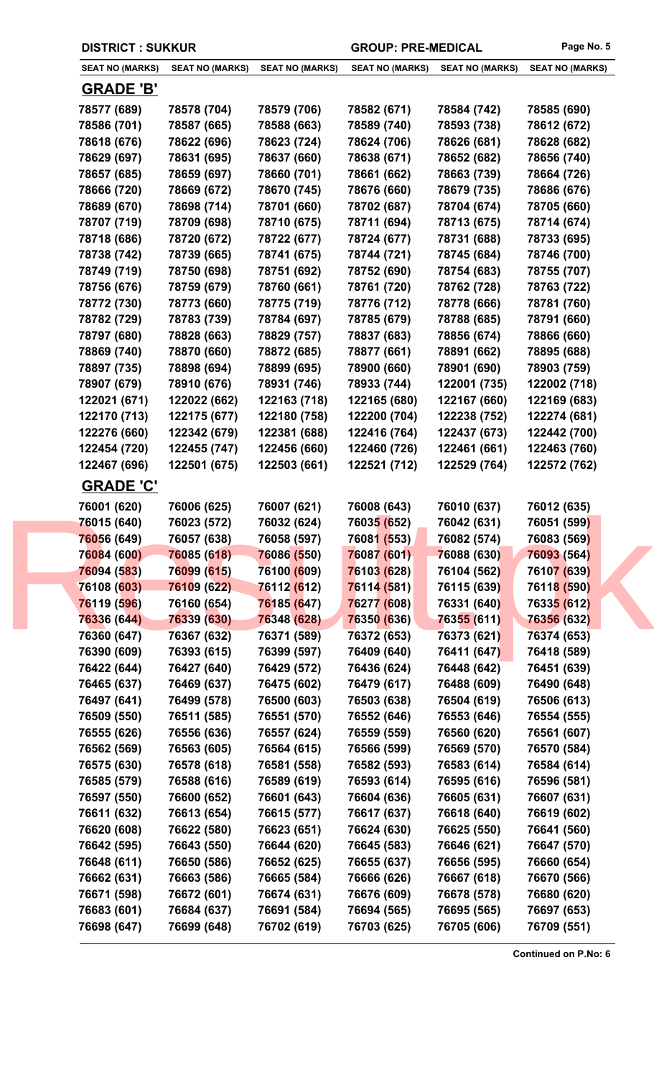| <b>DISTRICT: SUKKUR</b> |                        |                        | <b>GROUP: PRE-MEDICAL</b> |                        | Page No. 5             |
|-------------------------|------------------------|------------------------|---------------------------|------------------------|------------------------|
| <b>SEAT NO (MARKS)</b>  | <b>SEAT NO (MARKS)</b> | <b>SEAT NO (MARKS)</b> | <b>SEAT NO (MARKS)</b>    | <b>SEAT NO (MARKS)</b> | <b>SEAT NO (MARKS)</b> |
| <b>GRADE 'B'</b>        |                        |                        |                           |                        |                        |
| 78577 (689)             | 78578 (704)            | 78579 (706)            | 78582 (671)               | 78584 (742)            | 78585 (690)            |
| 78586 (701)             | 78587 (665)            | 78588 (663)            | 78589 (740)               | 78593 (738)            | 78612 (672)            |
| 78618 (676)             | 78622 (696)            | 78623 (724)            | 78624 (706)               | 78626 (681)            | 78628 (682)            |
| 78629 (697)             | 78631 (695)            | 78637 (660)            | 78638 (671)               | 78652 (682)            | 78656 (740)            |
| 78657 (685)             | 78659 (697)            | 78660 (701)            | 78661 (662)               | 78663 (739)            | 78664 (726)            |
| 78666 (720)             | 78669 (672)            | 78670 (745)            | 78676 (660)               | 78679 (735)            | 78686 (676)            |
| 78689 (670)             | 78698 (714)            | 78701 (660)            | 78702 (687)               | 78704 (674)            | 78705 (660)            |
| 78707 (719)             | 78709 (698)            | 78710 (675)            | 78711 (694)               | 78713 (675)            | 78714 (674)            |
| 78718 (686)             | 78720 (672)            | 78722 (677)            | 78724 (677)               | 78731 (688)            | 78733 (695)            |
| 78738 (742)             | 78739 (665)            | 78741 (675)            | 78744 (721)               | 78745 (684)            | 78746 (700)            |
| 78749 (719)             | 78750 (698)            | 78751 (692)            | 78752 (690)               | 78754 (683)            | 78755 (707)            |
| 78756 (676)             | 78759 (679)            | 78760 (661)            | 78761 (720)               | 78762 (728)            | 78763 (722)            |
| 78772 (730)             | 78773 (660)            | 78775 (719)            | 78776 (712)               | 78778 (666)            | 78781 (760)            |
| 78782 (729)             | 78783 (739)            | 78784 (697)            | 78785 (679)               | 78788 (685)            | 78791 (660)            |
| 78797 (680)             | 78828 (663)            | 78829 (757)            | 78837 (683)               | 78856 (674)            | 78866 (660)            |
|                         | 78870 (660)            |                        |                           |                        |                        |
| 78869 (740)             |                        | 78872 (685)            | 78877 (661)               | 78891 (662)            | 78895 (688)            |
| 78897 (735)             | 78898 (694)            | 78899 (695)            | 78900 (660)               | 78901 (690)            | 78903 (759)            |
| 78907 (679)             | 78910 (676)            | 78931 (746)            | 78933 (744)               | 122001 (735)           | 122002 (718)           |
| 122021 (671)            | 122022 (662)           | 122163 (718)           | 122165 (680)              | 122167 (660)           | 122169 (683)           |
| 122170 (713)            | 122175 (677)           | 122180 (758)           | 122200 (704)              | 122238 (752)           | 122274 (681)           |
| 122276 (660)            | 122342 (679)           | 122381 (688)           | 122416 (764)              | 122437 (673)           | 122442 (700)           |
| 122454 (720)            | 122455 (747)           | 122456 (660)           | 122460 (726)              | 122461 (661)           | 122463 (760)           |
| 122467 (696)            | 122501 (675)           | 122503 (661)           | 122521 (712)              | 122529 (764)           | 122572 (762)           |
| <b>GRADE 'C'</b>        |                        |                        |                           |                        |                        |
| 76001 (620)             | 76006 (625)            | 76007 (621)            | 76008 (643)               | 76010 (637)            | 76012 (635)            |
| 76015 (640)             | 76023 (572)            | 76032 (624)            | 76035 (652)               | 76042 (631)            | 76051 (599)            |
| 76056 (649)             | 76057 (638)            | 76058 (597)            | 76081 (553)               | 76082 (574)            | 76083 (569)            |
| 76084 (600)             | 76085 (618)            | 76086 (550)            | 76087 (601)               | 76088 (630)            | 76093 (564)            |
| 76094 (583)             | 76099 (615)            | 76100 (609)            | 76103 (628)               | 76104 (562)            | 76107 (639)            |
| 76108 (603)             | 76109 (622)            | 76112 (612)            | 76114 (581)               | 76115 (639)            | 76118 (590)            |
| 76119 (596)             | 76160 (654)            | 76185 (647)            | 76277 (608)               | 76331 (640)            | 76335 (612)            |
| 76336 (644)             | 76339 (630)            | 76348 (628)            | 76350 (636)               | 76355 (611)            | 76356 (632)            |
| 76360 (647)             | 76367 (632)            | 76371 (589)            | 76372 (653)               | 76373 (621)            | 76374 (653)            |
| 76390 (609)             | 76393 (615)            | 76399 (597)            | 76409 (640)               | 76411 (647)            | 76418 (589)            |
| 76422 (644)             | 76427 (640)            | 76429 (572)            | 76436 (624)               | 76448 (642)            | 76451 (639)            |
| 76465 (637)             | 76469 (637)            | 76475 (602)            | 76479 (617)               | 76488 (609)            | 76490 (648)            |
| 76497 (641)             | 76499 (578)            | 76500 (603)            | 76503 (638)               | 76504 (619)            | 76506 (613)            |
| 76509 (550)             | 76511 (585)            | 76551 (570)            | 76552 (646)               | 76553 (646)            | 76554 (555)            |
| 76555 (626)             | 76556 (636)            | 76557 (624)            | 76559 (559)               | 76560 (620)            | 76561 (607)            |
| 76562 (569)             | 76563 (605)            | 76564 (615)            | 76566 (599)               | 76569 (570)            | 76570 (584)            |
|                         |                        |                        |                           | 76583 (614)            |                        |
| 76575 (630)             | 76578 (618)            | 76581 (558)            | 76582 (593)               |                        | 76584 (614)            |
| 76585 (579)             | 76588 (616)            | 76589 (619)            | 76593 (614)               | 76595 (616)            | 76596 (581)            |
| 76597 (550)             | 76600 (652)            | 76601 (643)            | 76604 (636)               | 76605 (631)            | 76607 (631)            |
| 76611 (632)             | 76613 (654)            | 76615 (577)            | 76617 (637)               | 76618 (640)            | 76619 (602)            |
| 76620 (608)             | 76622 (580)            | 76623 (651)            | 76624 (630)               | 76625 (550)            | 76641 (560)            |
| 76642 (595)             | 76643 (550)            | 76644 (620)            | 76645 (583)               | 76646 (621)            | 76647 (570)            |
| 76648 (611)             | 76650 (586)            | 76652 (625)            | 76655 (637)               | 76656 (595)            | 76660 (654)            |
| 76662 (631)             | 76663 (586)            | 76665 (584)            | 76666 (626)               | 76667 (618)            | 76670 (566)            |
| 76671 (598)             | 76672 (601)            | 76674 (631)            | 76676 (609)               | 76678 (578)            | 76680 (620)            |
| 76683 (601)             | 76684 (637)            | 76691 (584)            | 76694 (565)               | 76695 (565)            | 76697 (653)            |
| 76698 (647)             | 76699 (648)            | 76702 (619)            | 76703 (625)               | 76705 (606)            | 76709 (551)            |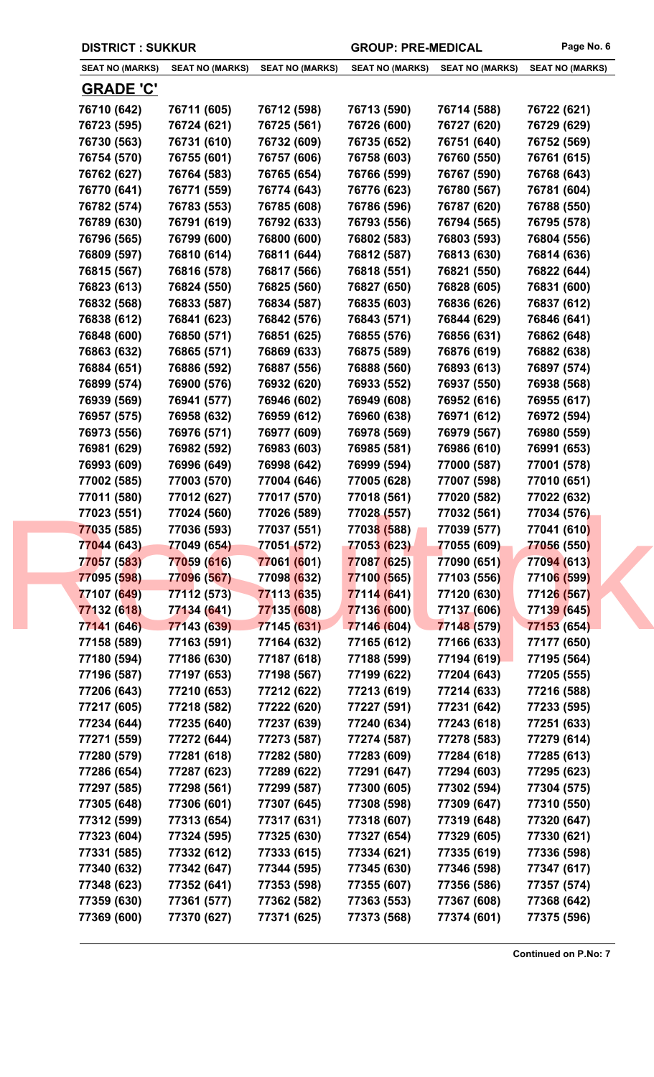| <b>SEAT NO (MARKS)</b> | <b>SEAT NO (MARKS)</b> | <b>SEAT NO (MARKS)</b> | <b>SEAT NO (MARKS)</b> | <b>SEAT NO (MARKS)</b> | <b>SEAT NO (MARKS)</b> |
|------------------------|------------------------|------------------------|------------------------|------------------------|------------------------|
| <b>GRADE 'C'</b>       |                        |                        |                        |                        |                        |
| 76710 (642)            | 76711 (605)            | 76712 (598)            | 76713 (590)            | 76714 (588)            | 76722 (621)            |
| 76723 (595)            | 76724 (621)            | 76725 (561)            | 76726 (600)            | 76727 (620)            | 76729 (629)            |
| 76730 (563)            | 76731 (610)            | 76732 (609)            | 76735 (652)            | 76751 (640)            | 76752 (569)            |
| 76754 (570)            | 76755 (601)            | 76757 (606)            | 76758 (603)            | 76760 (550)            | 76761 (615)            |
| 76762 (627)            | 76764 (583)            | 76765 (654)            | 76766 (599)            | 76767 (590)            | 76768 (643)            |
| 76770 (641)            | 76771 (559)            | 76774 (643)            | 76776 (623)            | 76780 (567)            | 76781 (604)            |
| 76782 (574)            | 76783 (553)            | 76785 (608)            | 76786 (596)            | 76787 (620)            | 76788 (550)            |
| 76789 (630)            | 76791 (619)            | 76792 (633)            | 76793 (556)            | 76794 (565)            | 76795 (578)            |
| 76796 (565)            | 76799 (600)            | 76800 (600)            | 76802 (583)            | 76803 (593)            | 76804 (556)            |
| 76809 (597)            | 76810 (614)            | 76811 (644)            | 76812 (587)            | 76813 (630)            | 76814 (636)            |
| 76815 (567)            | 76816 (578)            | 76817 (566)            | 76818 (551)            | 76821 (550)            | 76822 (644)            |
| 76823 (613)            | 76824 (550)            | 76825 (560)            | 76827 (650)            | 76828 (605)            | 76831 (600)            |
| 76832 (568)            | 76833 (587)            | 76834 (587)            | 76835 (603)            | 76836 (626)            | 76837 (612)            |
| 76838 (612)            | 76841 (623)            | 76842 (576)            | 76843 (571)            | 76844 (629)            | 76846 (641)            |
| 76848 (600)            | 76850 (571)            | 76851 (625)            | 76855 (576)            | 76856 (631)            | 76862 (648)            |
| 76863 (632)            | 76865 (571)            | 76869 (633)            | 76875 (589)            | 76876 (619)            | 76882 (638)            |
| 76884 (651)            | 76886 (592)            | 76887 (556)            | 76888 (560)            | 76893 (613)            | 76897 (574)            |
| 76899 (574)            | 76900 (576)            | 76932 (620)            | 76933 (552)            | 76937 (550)            | 76938 (568)            |
| 76939 (569)            | 76941 (577)            | 76946 (602)            | 76949 (608)            | 76952 (616)            | 76955 (617)            |
| 76957 (575)            | 76958 (632)            | 76959 (612)            | 76960 (638)            | 76971 (612)            | 76972 (594)            |
| 76973 (556)            | 76976 (571)            | 76977 (609)            | 76978 (569)            | 76979 (567)            | 76980 (559)            |
| 76981 (629)            | 76982 (592)            | 76983 (603)            | 76985 (581)            | 76986 (610)            | 76991 (653)            |
| 76993 (609)            | 76996 (649)            | 76998 (642)            | 76999 (594)            | 77000 (587)            | 77001 (578)            |
| 77002 (585)            | 77003 (570)            | 77004 (646)            | 77005 (628)            | 77007 (598)            | 77010 (651)            |
| 77011 (580)            | 77012 (627)            | 77017 (570)            | 77018 (561)            | 77020 (582)            | 77022 (632)            |
| 77023 (551)            | 77024 (560)            | 77026 (589)            | 77028 (557)            | 77032 (561)            | 77034 (576)            |
| 77035 (585)            | 77036 (593)            | 77037 (551)            | 77038 (588)            | 77039 (577)            | 77041 (610)            |
| 77044 (643)            | 77049 (654)            | 77051 (572)            | 77053 (623)            | 77055 (609)            | 77056 (550)            |
| 77057 (583)            | 77059 (616)            | 77061 (601)            | 77087 (625)            | 77090 (651)            | 77094 (613)            |
| 77095 (598)            | 77096 (567)            | 77098 (632)            | 77100 (565)            | 77103 (556)            | 77106 (599)            |
| 77107 (649)            | 77112 (573)            | 77113 (635)            | 77114 (641)            | 77120 (630)            | 77126 (567)            |
| 77132 (618)            | 77134 (641)            | 77135 (608)            | 77136 (600)            | 77137 (606)            | 77139 (645)            |
| 77141 (646)            | 77143 (639)            | 77145 (631)            | 77146 (604)            | 77148 (579)            | 77153 (654)            |
| 77158 (589)            | 77163 (591)            | 77164 (632)            | 77165 (612)            | 77166 (633)            | 77177 (650)            |
| 77180 (594)            | 77186 (630)            | 77187 (618)            | 77188 (599)            | 77194 (619)            | 77195 (564)            |
| 77196 (587)            | 77197 (653)            | 77198 (567)            | 77199 (622)            | 77204 (643)            | 77205 (555)            |
| 77206 (643)            | 77210 (653)            | 77212 (622)            | 77213 (619)            | 77214 (633)            | 77216 (588)            |
| 77217 (605)            | 77218 (582)            | 77222 (620)            | 77227 (591)            | 77231 (642)            | 77233 (595)            |
| 77234 (644)            | 77235 (640)            | 77237 (639)            | 77240 (634)            | 77243 (618)            | 77251 (633)            |
| 77271 (559)            | 77272 (644)            | 77273 (587)            | 77274 (587)            | 77278 (583)            | 77279 (614)            |
| 77280 (579)            | 77281 (618)            | 77282 (580)            | 77283 (609)            | 77284 (618)            | 77285 (613)            |
| 77286 (654)            | 77287 (623)            | 77289 (622)            | 77291 (647)            | 77294 (603)            | 77295 (623)            |
| 77297 (585)            | 77298 (561)            | 77299 (587)            | 77300 (605)            | 77302 (594)            | 77304 (575)            |
| 77305 (648)            | 77306 (601)            | 77307 (645)            | 77308 (598)            | 77309 (647)            | 77310 (550)            |
| 77312 (599)            | 77313 (654)            | 77317 (631)            | 77318 (607)            | 77319 (648)            | 77320 (647)            |
| 77323 (604)            | 77324 (595)            | 77325 (630)            | 77327 (654)            | 77329 (605)            | 77330 (621)            |
| 77331 (585)            | 77332 (612)            | 77333 (615)            | 77334 (621)            | 77335 (619)            | 77336 (598)            |
| 77340 (632)            | 77342 (647)            | 77344 (595)            | 77345 (630)            | 77346 (598)            | 77347 (617)            |
| 77348 (623)            | 77352 (641)            | 77353 (598)            | 77355 (607)            | 77356 (586)            | 77357 (574)            |
| 77359 (630)            | 77361 (577)            | 77362 (582)            | 77363 (553)            | 77367 (608)            | 77368 (642)            |
| 77369 (600)            | 77370 (627)            | 77371 (625)            | 77373 (568)            | 77374 (601)            | 77375 (596)            |
|                        |                        |                        |                        |                        |                        |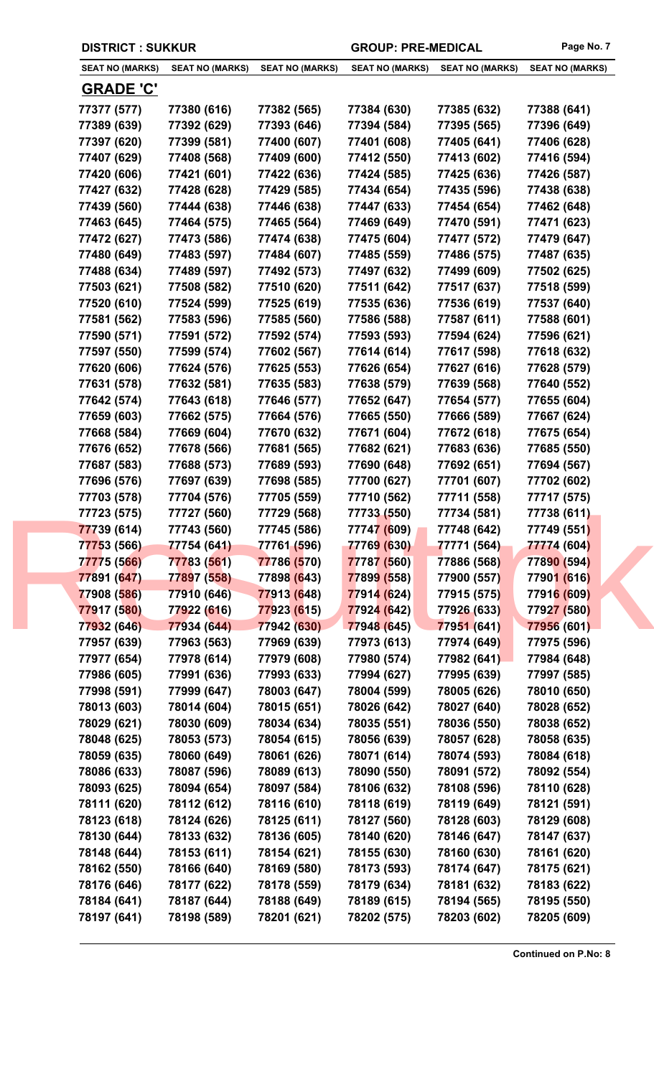|  | <b>DISTRICT : SUKKUR</b> |
|--|--------------------------|
|--|--------------------------|

GROUP: PRE-MEDICAL Page No. 7

| <b>SEAT NO (MARKS)</b> | <b>SEAT NO (MARKS)</b> | <b>SEAT NO (MARKS)</b> | <b>SEAT NO (MARKS)</b> | <b>SEAT NO (MARKS)</b> | <b>SEAT NO (MARKS)</b> |
|------------------------|------------------------|------------------------|------------------------|------------------------|------------------------|
| <b>GRADE 'C'</b>       |                        |                        |                        |                        |                        |
| 77377 (577)            | 77380 (616)            | 77382 (565)            | 77384 (630)            | 77385 (632)            | 77388 (641)            |
| 77389 (639)            | 77392 (629)            | 77393 (646)            | 77394 (584)            | 77395 (565)            | 77396 (649)            |
| 77397 (620)            | 77399 (581)            | 77400 (607)            | 77401 (608)            | 77405 (641)            | 77406 (628)            |
| 77407 (629)            | 77408 (568)            | 77409 (600)            | 77412 (550)            | 77413 (602)            | 77416 (594)            |
| 77420 (606)            | 77421 (601)            | 77422 (636)            | 77424 (585)            | 77425 (636)            | 77426 (587)            |
| 77427 (632)            | 77428 (628)            | 77429 (585)            | 77434 (654)            | 77435 (596)            | 77438 (638)            |
| 77439 (560)            | 77444 (638)            | 77446 (638)            | 77447 (633)            | 77454 (654)            | 77462 (648)            |
| 77463 (645)            | 77464 (575)            | 77465 (564)            | 77469 (649)            | 77470 (591)            | 77471 (623)            |
| 77472 (627)            | 77473 (586)            | 77474 (638)            | 77475 (604)            | 77477 (572)            | 77479 (647)            |
| 77480 (649)            | 77483 (597)            | 77484 (607)            | 77485 (559)            | 77486 (575)            | 77487 (635)            |
| 77488 (634)            | 77489 (597)            | 77492 (573)            | 77497 (632)            | 77499 (609)            | 77502 (625)            |
| 77503 (621)            | 77508 (582)            | 77510 (620)            | 77511 (642)            | 77517 (637)            | 77518 (599)            |
| 77520 (610)            | 77524 (599)            | 77525 (619)            | 77535 (636)            | 77536 (619)            | 77537 (640)            |
| 77581 (562)            | 77583 (596)            | 77585 (560)            | 77586 (588)            | 77587 (611)            | 77588 (601)            |
| 77590 (571)            | 77591 (572)            | 77592 (574)            | 77593 (593)            | 77594 (624)            | 77596 (621)            |
| 77597 (550)            | 77599 (574)            | 77602 (567)            | 77614 (614)            | 77617 (598)            | 77618 (632)            |
| 77620 (606)            | 77624 (576)            | 77625 (553)            | 77626 (654)            | 77627 (616)            | 77628 (579)            |
| 77631 (578)            | 77632 (581)            | 77635 (583)            | 77638 (579)            | 77639 (568)            | 77640 (552)            |
| 77642 (574)            | 77643 (618)            | 77646 (577)            | 77652 (647)            | 77654 (577)            | 77655 (604)            |
| 77659 (603)            | 77662 (575)            | 77664 (576)            | 77665 (550)            | 77666 (589)            | 77667 (624)            |
| 77668 (584)            | 77669 (604)            | 77670 (632)            | 77671 (604)            | 77672 (618)            | 77675 (654)            |
| 77676 (652)            | 77678 (566)            | 77681 (565)            | 77682 (621)            | 77683 (636)            | 77685 (550)            |
| 77687 (583)            | 77688 (573)            | 77689 (593)            | 77690 (648)            | 77692 (651)            | 77694 (567)            |
| 77696 (576)            | 77697 (639)            | 77698 (585)            | 77700 (627)            | 77701 (607)            | 77702 (602)            |
| 77703 (578)            | 77704 (576)            | 77705 (559)            | 77710 (562)            | 77711 (558)            | 77717 (575)            |
| 77723 (575)            | 77727 (560)            | 77729 (568)            | 77733 (550)            | 77734 (581)            | 77738 (611)            |
| 77739 (614)            | 77743 (560)            | 77745 (586)            | 77747 (609)            | 77748 (642)            | 77749 (551)            |
| 77753 (566)            | 77754 (641)            | 77761 (596)            | 77769 (630)            | 77771 (564)            | 77774 (604)            |
| 77775 (566)            | 77783 (561)            | 77786 (570)            | 77787 (560)            | 77886 (568)            | 77890 (594)            |
| 77891 (647)            | 77897 (558)            | 77898 (643)            | 77899 (558)            | 77900 (557)            | 77901 (616)            |
| 77908 (586)            | 77910 (646)            | 77913 (648)            | 77914 (624)            | 77915 (575)            | 77916 (609)            |
| 77917 (580)            | 77922 (616)            | 77923 (615)            | 77924 (642)            | 77926 (633)            | 77927 (580)            |
| 77932 (646)            | 77934 (644)            | 77942 (630)            | 77948 (645)            | 77951 (641)            | 77956 (601)            |
| 77957 (639)            | 77963 (563)            | 77969 (639)            | 77973 (613)            | 77974 (649)            | 77975 (596)            |
| 77977 (654)            | 77978 (614)            | 77979 (608)            | 77980 (574)            | 77982 (641)            | 77984 (648)            |
| 77986 (605)            | 77991 (636)            | 77993 (633)            | 77994 (627)            | 77995 (639)            | 77997 (585)            |
| 77998 (591)            | 77999 (647)            | 78003 (647)            | 78004 (599)            | 78005 (626)            | 78010 (650)            |
| 78013 (603)            | 78014 (604)            | 78015 (651)            | 78026 (642)            | 78027 (640)            | 78028 (652)            |
| 78029 (621)            | 78030 (609)            | 78034 (634)            | 78035 (551)            | 78036 (550)            | 78038 (652)            |
| 78048 (625)            | 78053 (573)            | 78054 (615)            | 78056 (639)            | 78057 (628)            | 78058 (635)            |
| 78059 (635)            | 78060 (649)            | 78061 (626)            | 78071 (614)            | 78074 (593)            | 78084 (618)            |
| 78086 (633)            | 78087 (596)            | 78089 (613)            | 78090 (550)            | 78091 (572)            | 78092 (554)            |
| 78093 (625)            | 78094 (654)            | 78097 (584)            | 78106 (632)            | 78108 (596)            | 78110 (628)            |
| 78111 (620)            | 78112 (612)            | 78116 (610)            | 78118 (619)            | 78119 (649)            | 78121 (591)            |
| 78123 (618)            | 78124 (626)            | 78125 (611)            | 78127 (560)            | 78128 (603)            | 78129 (608)            |
| 78130 (644)            | 78133 (632)            | 78136 (605)            | 78140 (620)            | 78146 (647)            | 78147 (637)            |
| 78148 (644)            | 78153 (611)            | 78154 (621)            | 78155 (630)            | 78160 (630)            | 78161 (620)            |
| 78162 (550)            | 78166 (640)            | 78169 (580)            | 78173 (593)            | 78174 (647)            | 78175 (621)            |
| 78176 (646)            | 78177 (622)            | 78178 (559)            | 78179 (634)            | 78181 (632)            | 78183 (622)            |
| 78184 (641)            | 78187 (644)            | 78188 (649)            | 78189 (615)            | 78194 (565)            | 78195 (550)            |
| 78197 (641)            | 78198 (589)            | 78201 (621)            | 78202 (575)            | 78203 (602)            | 78205 (609)            |
|                        |                        |                        |                        |                        |                        |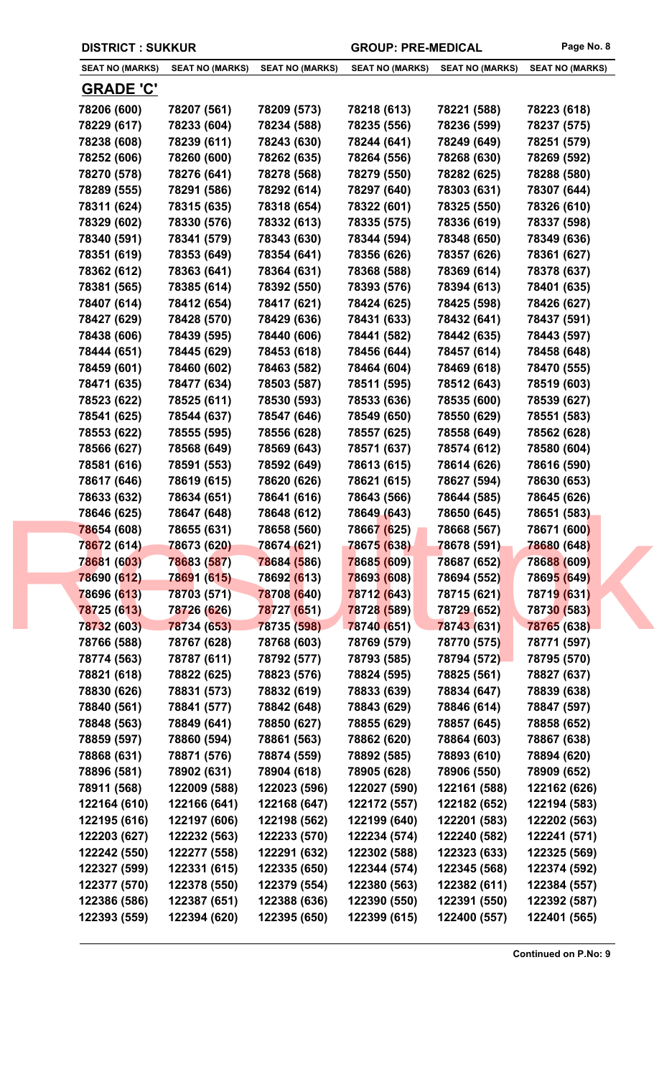|  | <b>SEAT NO (MARKS)</b>     | <b>SEAT NO (MARKS)</b>     | <b>SEAT NO (MARKS)</b>     | <b>SEAT NO (MARKS)</b>     | <b>SEAT NO (MARKS)</b>     | <b>SEAT NO (MARKS)</b>     |
|--|----------------------------|----------------------------|----------------------------|----------------------------|----------------------------|----------------------------|
|  | <u>GRADE 'C'</u>           |                            |                            |                            |                            |                            |
|  | 78206 (600)                | 78207 (561)                | 78209 (573)                | 78218 (613)                | 78221 (588)                | 78223 (618)                |
|  | 78229 (617)                | 78233 (604)                | 78234 (588)                | 78235 (556)                | 78236 (599)                | 78237 (575)                |
|  | 78238 (608)                | 78239 (611)                | 78243 (630)                | 78244 (641)                | 78249 (649)                | 78251 (579)                |
|  | 78252 (606)                | 78260 (600)                | 78262 (635)                | 78264 (556)                | 78268 (630)                | 78269 (592)                |
|  | 78270 (578)                | 78276 (641)                | 78278 (568)                | 78279 (550)                | 78282 (625)                | 78288 (580)                |
|  | 78289 (555)                | 78291 (586)                | 78292 (614)                | 78297 (640)                | 78303 (631)                | 78307 (644)                |
|  | 78311 (624)                | 78315 (635)                | 78318 (654)                | 78322 (601)                | 78325 (550)                | 78326 (610)                |
|  | 78329 (602)                | 78330 (576)                | 78332 (613)                | 78335 (575)                | 78336 (619)                | 78337 (598)                |
|  | 78340 (591)                | 78341 (579)                | 78343 (630)                | 78344 (594)                | 78348 (650)                | 78349 (636)                |
|  | 78351 (619)                | 78353 (649)                | 78354 (641)                | 78356 (626)                | 78357 (626)                | 78361 (627)                |
|  | 78362 (612)                | 78363 (641)                | 78364 (631)                | 78368 (588)                | 78369 (614)                | 78378 (637)                |
|  | 78381 (565)                | 78385 (614)                | 78392 (550)                | 78393 (576)                | 78394 (613)                | 78401 (635)                |
|  | 78407 (614)                | 78412 (654)                | 78417 (621)                | 78424 (625)                | 78425 (598)                | 78426 (627)                |
|  | 78427 (629)                | 78428 (570)                | 78429 (636)                | 78431 (633)                | 78432 (641)                | 78437 (591)                |
|  | 78438 (606)                | 78439 (595)                | 78440 (606)                | 78441 (582)                | 78442 (635)                | 78443 (597)                |
|  | 78444 (651)                | 78445 (629)                | 78453 (618)                | 78456 (644)                | 78457 (614)                | 78458 (648)                |
|  | 78459 (601)                | 78460 (602)                | 78463 (582)                | 78464 (604)                | 78469 (618)                | 78470 (555)                |
|  | 78471 (635)                | 78477 (634)                | 78503 (587)                | 78511 (595)                | 78512 (643)                | 78519 (603)                |
|  | 78523 (622)                | 78525 (611)                | 78530 (593)                | 78533 (636)                | 78535 (600)                | 78539 (627)                |
|  | 78541 (625)                | 78544 (637)                | 78547 (646)                | 78549 (650)                | 78550 (629)                | 78551 (583)                |
|  | 78553 (622)                | 78555 (595)                | 78556 (628)                | 78557 (625)                | 78558 (649)                | 78562 (628)                |
|  | 78566 (627)                | 78568 (649)                | 78569 (643)                | 78571 (637)                | 78574 (612)                | 78580 (604)                |
|  | 78581 (616)                | 78591 (553)                | 78592 (649)                | 78613 (615)                | 78614 (626)                | 78616 (590)                |
|  | 78617 (646)                | 78619 (615)                | 78620 (626)                | 78621 (615)                | 78627 (594)                | 78630 (653)                |
|  | 78633 (632)                | 78634 (651)                | 78641 (616)                | 78643 (566)                | 78644 (585)                | 78645 (626)                |
|  | 78646 (625)                | 78647 (648)                | 78648 (612)                | 78649 (643)                | 78650 (645)                | 78651 (583)                |
|  | 78654 (608)                | 78655 (631)                | 78658 (560)                | 78667 (625)                | 78668 (567)                | 78671 (600)                |
|  | 78672 (614)                | 78673 (620)                | 78674 (621)                | 78675 (638)                | 78678 (591)                | 78680 (648)                |
|  | 78681 (603)                | 78683 (587)                | 78684 (586)                | 78685 (609)                | 78687 (652)                | 78688 (609)                |
|  | 78690 (612)                | 78691 (615)                | 78692 (613)                | 78693 (608)                | 78694 (552)                | 78695 (649)                |
|  | 78696 (613)                | 78703 (571)                | 78708 (640)                | 78712 (643)                | 78715 (621)                | 78719 (631)                |
|  | 78725 (613)                | 78726 (626)                | 78727 (651)                | 78728 (589)                | 78729 (652)                | 78730 (583)                |
|  | 78732 (603)                | 78734 (653)                | 78735 (598)                | 78740 (651)                | 78743 (631)                | 78765 (638)                |
|  | 78766 (588)                | 78767 (628)                | 78768 (603)                | 78769 (579)                | 78770 (575)                | 78771 (597)                |
|  | 78774 (563)                | 78787 (611)                | 78792 (577)                | 78793 (585)                | 78794 (572)                | 78795 (570)                |
|  | 78821 (618)                | 78822 (625)                | 78823 (576)                | 78824 (595)                | 78825 (561)                | 78827 (637)                |
|  | 78830 (626)                | 78831 (573)                | 78832 (619)                | 78833 (639)                | 78834 (647)                | 78839 (638)                |
|  | 78840 (561)                | 78841 (577)                | 78842 (648)                | 78843 (629)                | 78846 (614)                | 78847 (597)                |
|  | 78848 (563)<br>78859 (597) | 78849 (641)<br>78860 (594) | 78850 (627)<br>78861 (563) | 78855 (629)<br>78862 (620) | 78857 (645)<br>78864 (603) | 78858 (652)<br>78867 (638) |
|  | 78868 (631)                | 78871 (576)                | 78874 (559)                | 78892 (585)                | 78893 (610)                | 78894 (620)                |
|  | 78896 (581)                | 78902 (631)                | 78904 (618)                | 78905 (628)                | 78906 (550)                | 78909 (652)                |
|  | 78911 (568)                | 122009 (588)               | 122023 (596)               | 122027 (590)               | 122161 (588)               | 122162 (626)               |
|  | 122164 (610)               | 122166 (641)               | 122168 (647)               | 122172 (557)               | 122182 (652)               | 122194 (583)               |
|  | 122195 (616)               | 122197 (606)               | 122198 (562)               | 122199 (640)               | 122201 (583)               | 122202 (563)               |
|  | 122203 (627)               | 122232 (563)               | 122233 (570)               | 122234 (574)               | 122240 (582)               | 122241 (571)               |
|  | 122242 (550)               | 122277 (558)               | 122291 (632)               | 122302 (588)               | 122323 (633)               | 122325 (569)               |
|  | 122327 (599)               | 122331 (615)               | 122335 (650)               | 122344 (574)               | 122345 (568)               | 122374 (592)               |
|  | 122377 (570)               | 122378 (550)               | 122379 (554)               | 122380 (563)               | 122382 (611)               | 122384 (557)               |
|  | 122386 (586)               | 122387 (651)               | 122388 (636)               | 122390 (550)               | 122391 (550)               | 122392 (587)               |
|  | 122393 (559)               | 122394 (620)               | 122395 (650)               | 122399 (615)               | 122400 (557)               | 122401 (565)               |
|  |                            |                            |                            |                            |                            |                            |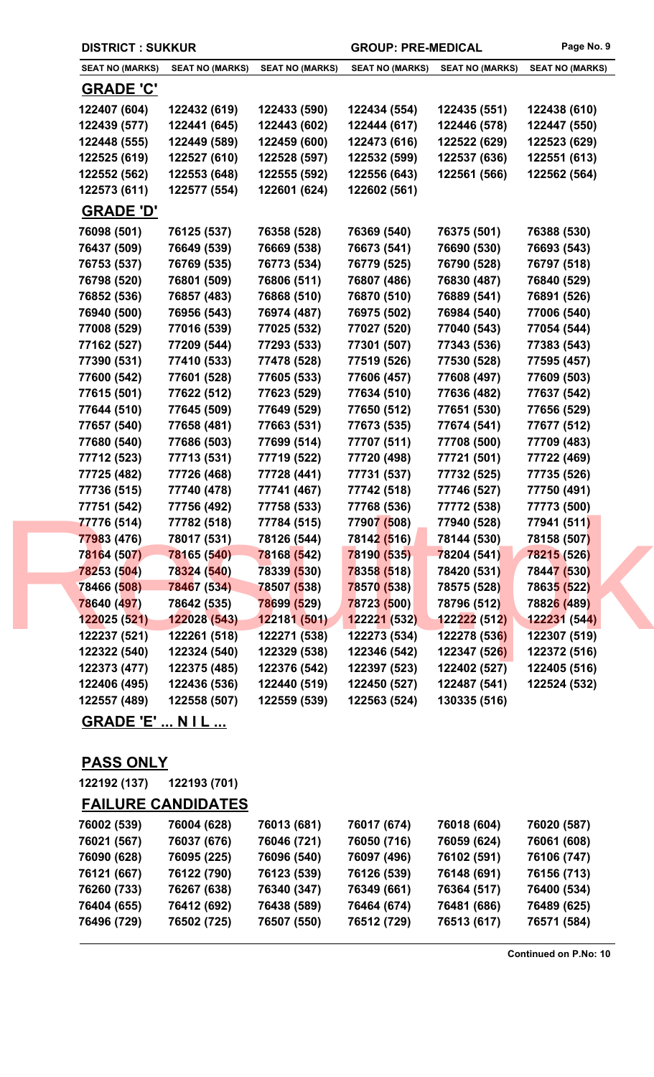| <b>DISTRICT: SUKKUR</b> |                        |                        | <b>GROUP: PRE-MEDICAL</b> |                        | Page No. 9             |
|-------------------------|------------------------|------------------------|---------------------------|------------------------|------------------------|
| <b>SEAT NO (MARKS)</b>  | <b>SEAT NO (MARKS)</b> | <b>SEAT NO (MARKS)</b> | <b>SEAT NO (MARKS)</b>    | <b>SEAT NO (MARKS)</b> | <b>SEAT NO (MARKS)</b> |
| <b>GRADE 'C'</b>        |                        |                        |                           |                        |                        |
| 122407 (604)            | 122432 (619)           | 122433 (590)           | 122434 (554)              | 122435 (551)           | 122438 (610)           |
| 122439 (577)            | 122441 (645)           | 122443 (602)           | 122444 (617)              | 122446 (578)           | 122447 (550)           |
| 122448 (555)            | 122449 (589)           | 122459 (600)           | 122473 (616)              | 122522 (629)           | 122523 (629)           |
| 122525 (619)            | 122527 (610)           | 122528 (597)           | 122532 (599)              | 122537 (636)           | 122551 (613)           |
| 122552 (562)            | 122553 (648)           | 122555 (592)           | 122556 (643)              | 122561 (566)           | 122562 (564)           |
| 122573 (611)            | 122577 (554)           | 122601 (624)           | 122602 (561)              |                        |                        |
| <b>GRADE 'D'</b>        |                        |                        |                           |                        |                        |
| 76098 (501)             | 76125 (537)            | 76358 (528)            | 76369 (540)               | 76375 (501)            | 76388 (530)            |
| 76437 (509)             | 76649 (539)            | 76669 (538)            | 76673 (541)               | 76690 (530)            | 76693 (543)            |
| 76753 (537)             | 76769 (535)            | 76773 (534)            | 76779 (525)               | 76790 (528)            | 76797 (518)            |
| 76798 (520)             | 76801 (509)            | 76806 (511)            | 76807 (486)               | 76830 (487)            | 76840 (529)            |
| 76852 (536)             | 76857 (483)            | 76868 (510)            | 76870 (510)               | 76889 (541)            | 76891 (526)            |
| 76940 (500)             | 76956 (543)            | 76974 (487)            | 76975 (502)               | 76984 (540)            | 77006 (540)            |
| 77008 (529)             | 77016 (539)            | 77025 (532)            | 77027 (520)               | 77040 (543)            | 77054 (544)            |
| 77162 (527)             | 77209 (544)            | 77293 (533)            | 77301 (507)               | 77343 (536)            | 77383 (543)            |
| 77390 (531)             | 77410 (533)            | 77478 (528)            | 77519 (526)               | 77530 (528)            | 77595 (457)            |
| 77600 (542)             | 77601 (528)            | 77605 (533)            | 77606 (457)               | 77608 (497)            | 77609 (503)            |
| 77615 (501)             | 77622 (512)            | 77623 (529)            | 77634 (510)               | 77636 (482)            | 77637 (542)            |
| 77644 (510)             | 77645 (509)            | 77649 (529)            | 77650 (512)               | 77651 (530)            | 77656 (529)            |
| 77657 (540)             | 77658 (481)            | 77663 (531)            | 77673 (535)               | 77674 (541)            | 77677 (512)            |
| 77680 (540)             | 77686 (503)            | 77699 (514)            | 77707 (511)               | 77708 (500)            | 77709 (483)            |
| 77712 (523)             | 77713 (531)            | 77719 (522)            | 77720 (498)               | 77721 (501)            | 77722 (469)            |
| 77725 (482)             | 77726 (468)            | 77728 (441)            | 77731 (537)               | 77732 (525)            | 77735 (526)            |
| 77736 (515)             | 77740 (478)            | 77741 (467)            | 77742 (518)               | 77746 (527)            | 77750 (491)            |
| 77751 (542)             | 77756 (492)            | 77758 (533)            | 77768 (536)               | 77772 (538)            | 77773 (500)            |
| 77776 (514)             | 77782 (518)            | 77784 (515)            | 77907 (508)               | 77940 (528)            | 77941 (511)            |
| 77983 (476)             | 78017 (531)            | 78126 (544)            | 78142 (516)               | 78144 (530)            | 78158 (507)            |
| 78164 (507)             | 78165 (540)            | 78168 (542)            | 78190 (535)               | 78204 (541)            | 78215 (526)            |
| 78253 (504)             | 78324 (540)            | 78339 (530)            | 78358 (518)               | 78420 (531)            | 78447 (530)            |
| 78466 (508)             | 78467 (534)            | 78507 (538)            | 78570 (538)               | 78575 (528)            | 78635 (522)            |
| 78640 (497)             | 78642 (535)            | <b>78699 (529)</b>     | 78723 (500)               | 78796 (512)            | 78826 (489)            |
| 122025 (521)            | 122028 (543)           | 122181 (501)           | 122221 (532)              | 122222 (512)           | 122231(544)            |
| 122237 (521)            | 122261 (518)           | 122271 (538)           | 122273 (534)              | 122278 (536)           | 122307 (519)           |
| 122322 (540)            | 122324 (540)           | 122329 (538)           | 122346 (542)              | <b>122347 (526)</b>    | 122372 (516)           |
| 122373 (477)            | 122375 (485)           | 122376 (542)           | 122397 (523)              | 122402 (527)           | 122405 (516)           |
| 122406 (495)            | 122436 (536)           | 122440 (519)           | 122450 (527)              | 122487 (541)           | 122524 (532)           |
| 122557 (489)            | 122558 (507)           | 122559 (539)           | 122563 (524)              | 130335 (516)           |                        |

**GRADE 'E' ... N I L ...**

## **PASS ONLY**

**122192 (137) 122193 (701)**

| <b>FAILURE CANDIDATES</b> |
|---------------------------|
|                           |

| 76002 (539) | 76004 (628) | 76013 (681) | 76017 (674) | 76018 (604) | 76020 (587) |
|-------------|-------------|-------------|-------------|-------------|-------------|
| 76021 (567) | 76037 (676) | 76046 (721) | 76050 (716) | 76059 (624) | 76061 (608) |
| 76090 (628) | 76095 (225) | 76096 (540) | 76097 (496) | 76102 (591) | 76106 (747) |
| 76121 (667) | 76122 (790) | 76123 (539) | 76126 (539) | 76148 (691) | 76156 (713) |
| 76260 (733) | 76267 (638) | 76340 (347) | 76349 (661) | 76364 (517) | 76400 (534) |
| 76404 (655) | 76412 (692) | 76438 (589) | 76464 (674) | 76481 (686) | 76489 (625) |
| 76496 (729) | 76502 (725) | 76507 (550) | 76512 (729) | 76513 (617) | 76571 (584) |
|             |             |             |             |             |             |